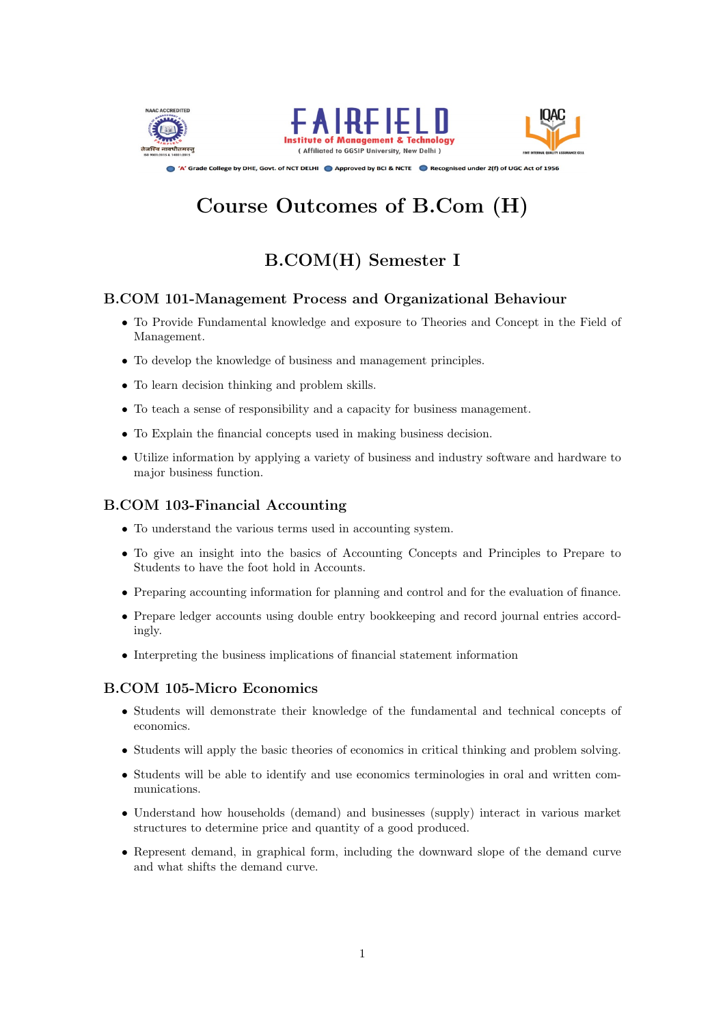





Approved by DRE, Govt. of NCT DELHI Approved by BCI & NCTE Recognised under 2(f) of UGC Act of 1956

# Course Outcomes of B.Com (H)

# B.COM(H) Semester I

# B.COM 101-Management Process and Organizational Behaviour

- To Provide Fundamental knowledge and exposure to Theories and Concept in the Field of Management.
- To develop the knowledge of business and management principles.
- To learn decision thinking and problem skills.
- To teach a sense of responsibility and a capacity for business management.
- To Explain the financial concepts used in making business decision.
- Utilize information by applying a variety of business and industry software and hardware to major business function.

### B.COM 103-Financial Accounting

- To understand the various terms used in accounting system.
- To give an insight into the basics of Accounting Concepts and Principles to Prepare to Students to have the foot hold in Accounts.
- Preparing accounting information for planning and control and for the evaluation of finance.
- Prepare ledger accounts using double entry bookkeeping and record journal entries accordingly.
- Interpreting the business implications of financial statement information

# B.COM 105-Micro Economics

- Students will demonstrate their knowledge of the fundamental and technical concepts of economics.
- Students will apply the basic theories of economics in critical thinking and problem solving.
- Students will be able to identify and use economics terminologies in oral and written communications.
- Understand how households (demand) and businesses (supply) interact in various market structures to determine price and quantity of a good produced.
- Represent demand, in graphical form, including the downward slope of the demand curve and what shifts the demand curve.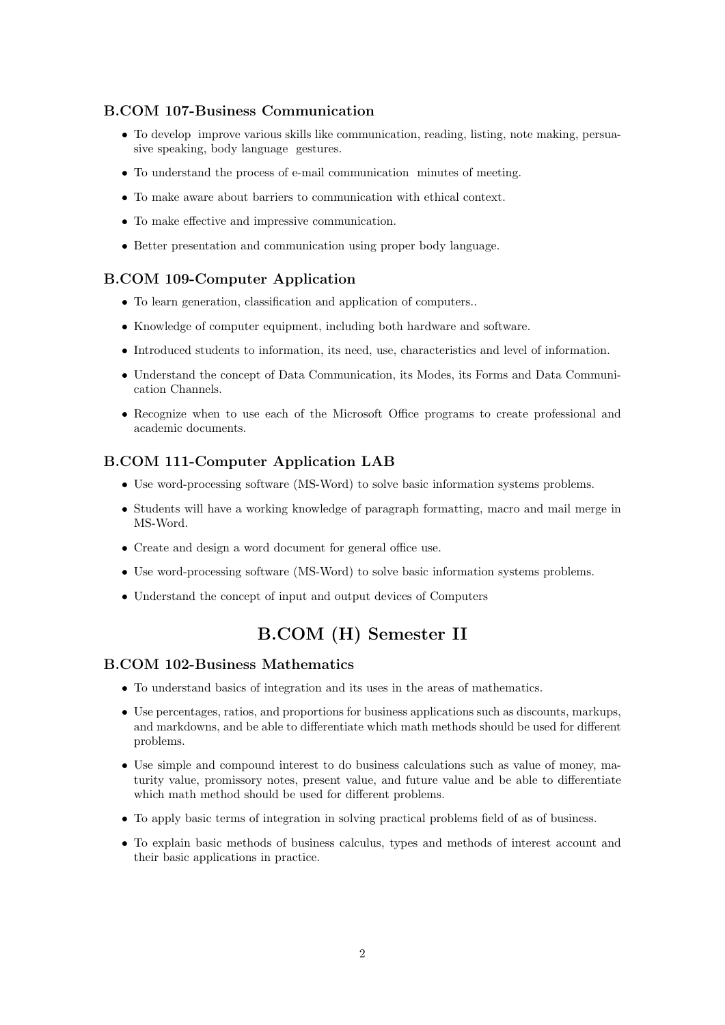### B.COM 107-Business Communication

- To develop improve various skills like communication, reading, listing, note making, persuasive speaking, body language gestures.
- To understand the process of e-mail communication minutes of meeting.
- To make aware about barriers to communication with ethical context.
- To make effective and impressive communication.
- Better presentation and communication using proper body language.

### B.COM 109-Computer Application

- To learn generation, classification and application of computers..
- Knowledge of computer equipment, including both hardware and software.
- Introduced students to information, its need, use, characteristics and level of information.
- Understand the concept of Data Communication, its Modes, its Forms and Data Communication Channels.
- Recognize when to use each of the Microsoft Office programs to create professional and academic documents.

### B.COM 111-Computer Application LAB

- Use word-processing software (MS-Word) to solve basic information systems problems.
- Students will have a working knowledge of paragraph formatting, macro and mail merge in MS-Word.
- Create and design a word document for general office use.
- Use word-processing software (MS-Word) to solve basic information systems problems.
- Understand the concept of input and output devices of Computers

# B.COM (H) Semester II

#### B.COM 102-Business Mathematics

- To understand basics of integration and its uses in the areas of mathematics.
- Use percentages, ratios, and proportions for business applications such as discounts, markups, and markdowns, and be able to differentiate which math methods should be used for different problems.
- Use simple and compound interest to do business calculations such as value of money, maturity value, promissory notes, present value, and future value and be able to differentiate which math method should be used for different problems.
- To apply basic terms of integration in solving practical problems field of as of business.
- To explain basic methods of business calculus, types and methods of interest account and their basic applications in practice.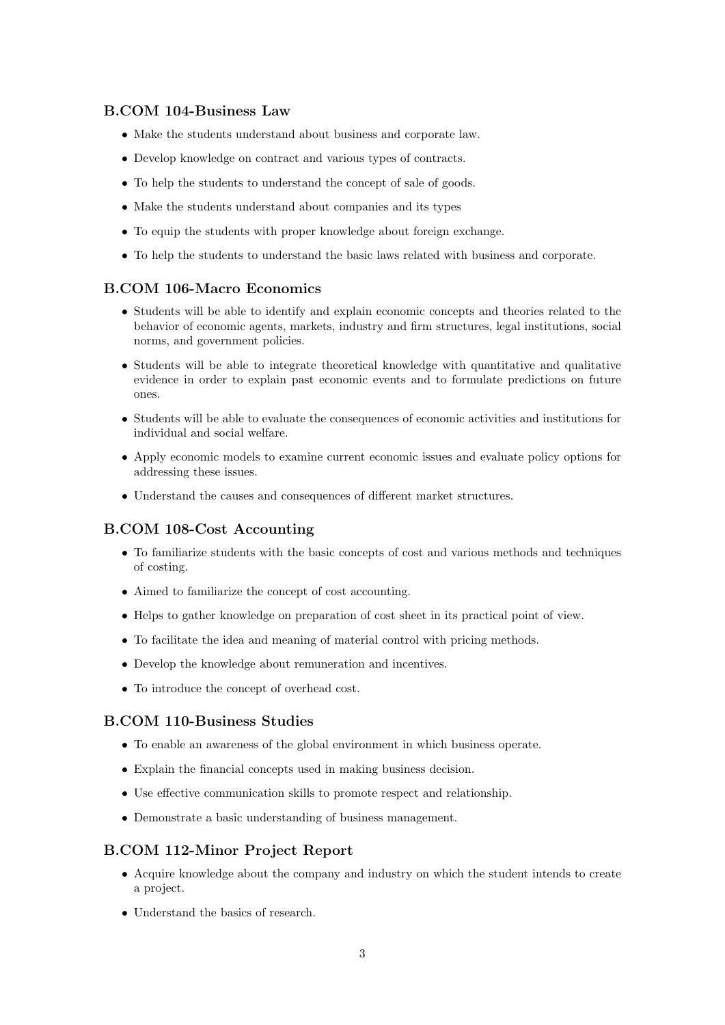### B.COM 104-Business Law

- Make the students understand about business and corporate law.
- Develop knowledge on contract and various types of contracts.
- To help the students to understand the concept of sale of goods.
- Make the students understand about companies and its types
- To equip the students with proper knowledge about foreign exchange.
- To help the students to understand the basic laws related with business and corporate.

# B.COM 106-Macro Economics

- Students will be able to identify and explain economic concepts and theories related to the behavior of economic agents, markets, industry and firm structures, legal institutions, social norms, and government policies.
- Students will be able to integrate theoretical knowledge with quantitative and qualitative evidence in order to explain past economic events and to formulate predictions on future ones.
- Students will be able to evaluate the consequences of economic activities and institutions for individual and social welfare.
- Apply economic models to examine current economic issues and evaluate policy options for addressing these issues.
- Understand the causes and consequences of different market structures.

### B.COM 108-Cost Accounting

- To familiarize students with the basic concepts of cost and various methods and techniques of costing.
- Aimed to familiarize the concept of cost accounting.
- Helps to gather knowledge on preparation of cost sheet in its practical point of view.
- To facilitate the idea and meaning of material control with pricing methods.
- Develop the knowledge about remuneration and incentives.
- To introduce the concept of overhead cost.

### B.COM 110-Business Studies

- To enable an awareness of the global environment in which business operate.
- Explain the financial concepts used in making business decision.
- Use effective communication skills to promote respect and relationship.
- Demonstrate a basic understanding of business management.

#### B.COM 112-Minor Project Report

- Acquire knowledge about the company and industry on which the student intends to create a project.
- Understand the basics of research.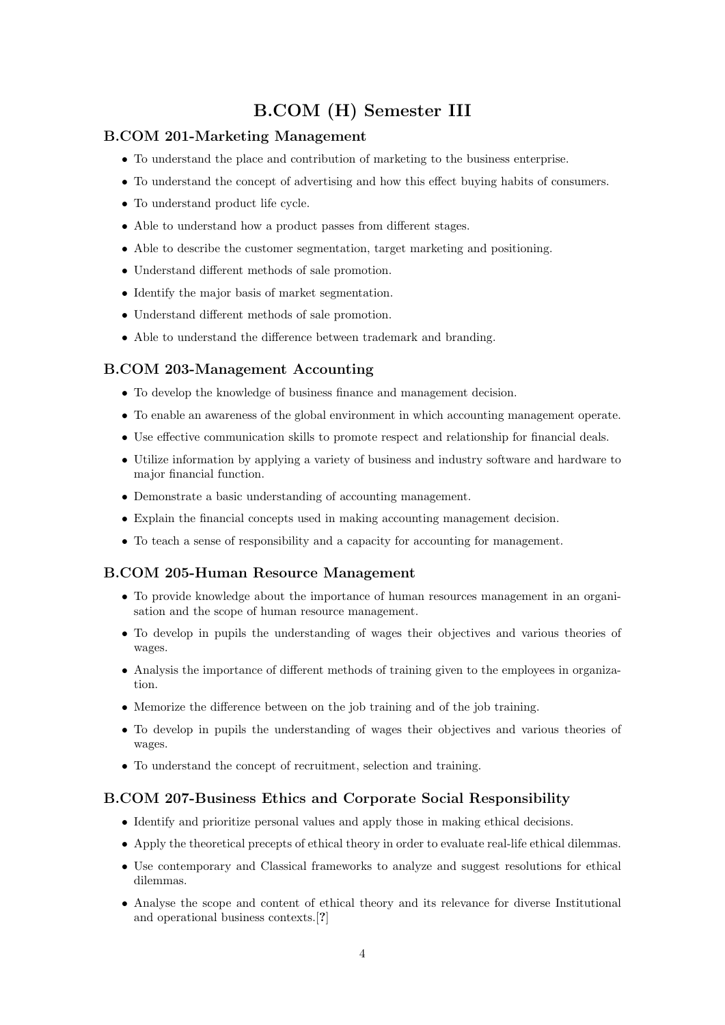# B.COM (H) Semester III

### B.COM 201-Marketing Management

- To understand the place and contribution of marketing to the business enterprise.
- To understand the concept of advertising and how this effect buying habits of consumers.
- To understand product life cycle.
- Able to understand how a product passes from different stages.
- Able to describe the customer segmentation, target marketing and positioning.
- Understand different methods of sale promotion.
- Identify the major basis of market segmentation.
- Understand different methods of sale promotion.
- Able to understand the difference between trademark and branding.

### B.COM 203-Management Accounting

- To develop the knowledge of business finance and management decision.
- To enable an awareness of the global environment in which accounting management operate.
- Use effective communication skills to promote respect and relationship for financial deals.
- Utilize information by applying a variety of business and industry software and hardware to major financial function.
- Demonstrate a basic understanding of accounting management.
- Explain the financial concepts used in making accounting management decision.
- To teach a sense of responsibility and a capacity for accounting for management.

# B.COM 205-Human Resource Management

- To provide knowledge about the importance of human resources management in an organisation and the scope of human resource management.
- To develop in pupils the understanding of wages their objectives and various theories of wages.
- Analysis the importance of different methods of training given to the employees in organization.
- Memorize the difference between on the job training and of the job training.
- To develop in pupils the understanding of wages their objectives and various theories of wages.
- To understand the concept of recruitment, selection and training.

### B.COM 207-Business Ethics and Corporate Social Responsibility

- Identify and prioritize personal values and apply those in making ethical decisions.
- Apply the theoretical precepts of ethical theory in order to evaluate real-life ethical dilemmas.
- Use contemporary and Classical frameworks to analyze and suggest resolutions for ethical dilemmas.
- Analyse the scope and content of ethical theory and its relevance for diverse Institutional and operational business contexts.[?]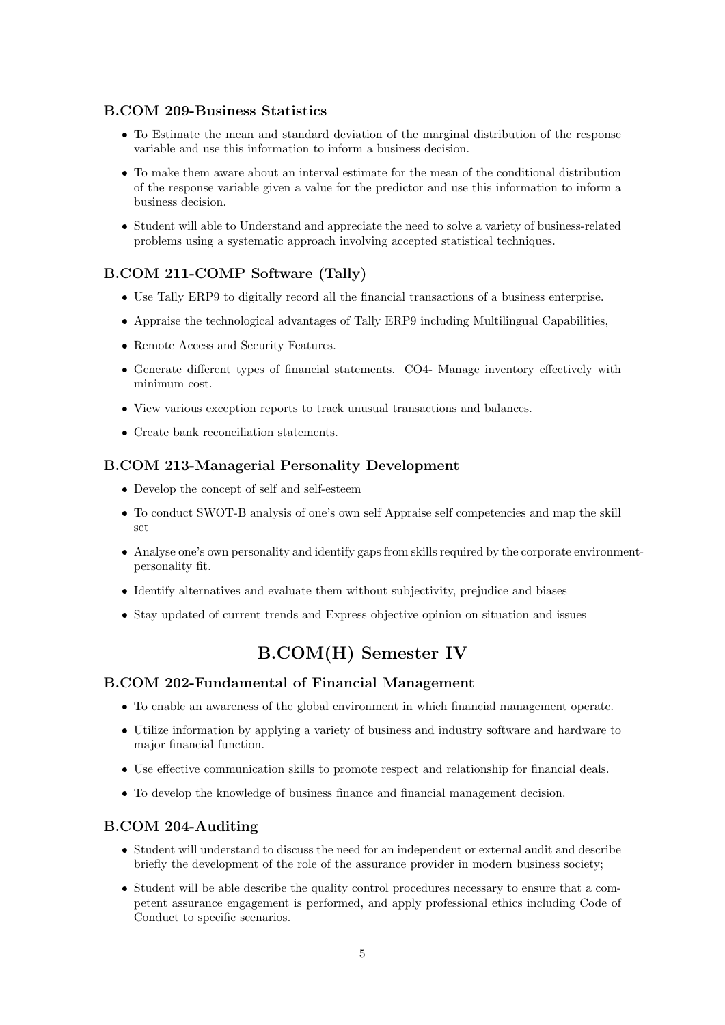## B.COM 209-Business Statistics

- To Estimate the mean and standard deviation of the marginal distribution of the response variable and use this information to inform a business decision.
- To make them aware about an interval estimate for the mean of the conditional distribution of the response variable given a value for the predictor and use this information to inform a business decision.
- Student will able to Understand and appreciate the need to solve a variety of business-related problems using a systematic approach involving accepted statistical techniques.

# B.COM 211-COMP Software (Tally)

- Use Tally ERP9 to digitally record all the financial transactions of a business enterprise.
- Appraise the technological advantages of Tally ERP9 including Multilingual Capabilities,
- Remote Access and Security Features.
- Generate different types of financial statements. CO4- Manage inventory effectively with minimum cost.
- View various exception reports to track unusual transactions and balances.
- Create bank reconciliation statements.

### B.COM 213-Managerial Personality Development

- Develop the concept of self and self-esteem
- To conduct SWOT-B analysis of one's own self Appraise self competencies and map the skill set
- Analyse one's own personality and identify gaps from skills required by the corporate environmentpersonality fit.
- Identify alternatives and evaluate them without subjectivity, prejudice and biases
- Stay updated of current trends and Express objective opinion on situation and issues

# B.COM(H) Semester IV

#### B.COM 202-Fundamental of Financial Management

- To enable an awareness of the global environment in which financial management operate.
- Utilize information by applying a variety of business and industry software and hardware to major financial function.
- Use effective communication skills to promote respect and relationship for financial deals.
- To develop the knowledge of business finance and financial management decision.

#### B.COM 204-Auditing

- Student will understand to discuss the need for an independent or external audit and describe briefly the development of the role of the assurance provider in modern business society;
- Student will be able describe the quality control procedures necessary to ensure that a competent assurance engagement is performed, and apply professional ethics including Code of Conduct to specific scenarios.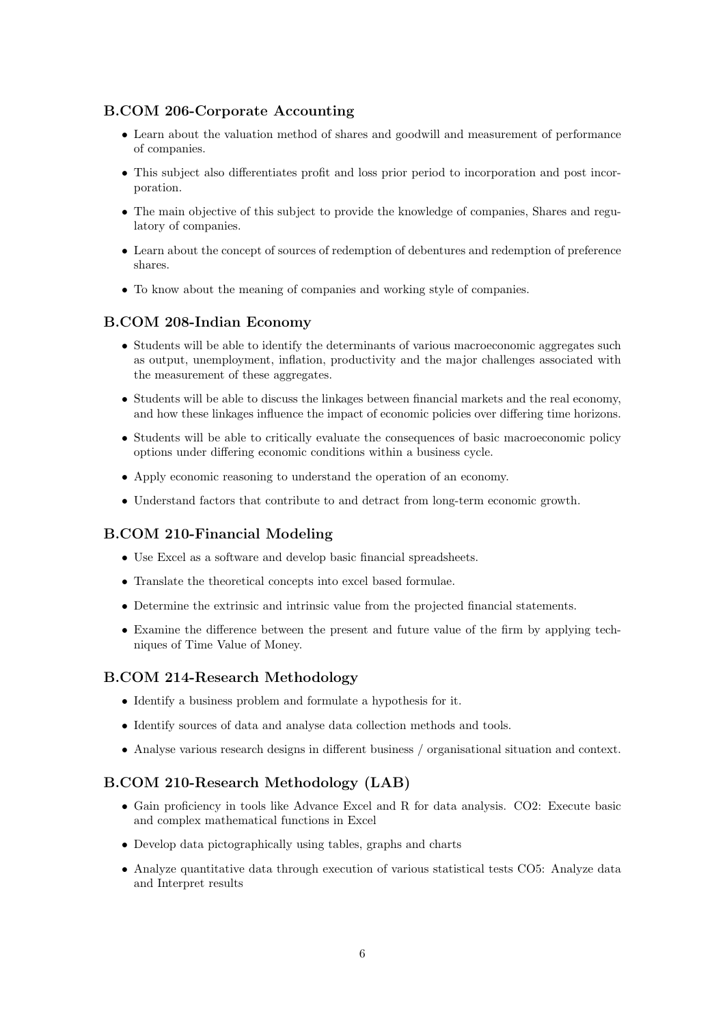# B.COM 206-Corporate Accounting

- Learn about the valuation method of shares and goodwill and measurement of performance of companies.
- This subject also differentiates profit and loss prior period to incorporation and post incorporation.
- The main objective of this subject to provide the knowledge of companies, Shares and regulatory of companies.
- Learn about the concept of sources of redemption of debentures and redemption of preference shares.
- To know about the meaning of companies and working style of companies.

# B.COM 208-Indian Economy

- Students will be able to identify the determinants of various macroeconomic aggregates such as output, unemployment, inflation, productivity and the major challenges associated with the measurement of these aggregates.
- Students will be able to discuss the linkages between financial markets and the real economy, and how these linkages influence the impact of economic policies over differing time horizons.
- Students will be able to critically evaluate the consequences of basic macroeconomic policy options under differing economic conditions within a business cycle.
- Apply economic reasoning to understand the operation of an economy.
- Understand factors that contribute to and detract from long-term economic growth.

### B.COM 210-Financial Modeling

- Use Excel as a software and develop basic financial spreadsheets.
- Translate the theoretical concepts into excel based formulae.
- Determine the extrinsic and intrinsic value from the projected financial statements.
- Examine the difference between the present and future value of the firm by applying techniques of Time Value of Money.

### B.COM 214-Research Methodology

- Identify a business problem and formulate a hypothesis for it.
- Identify sources of data and analyse data collection methods and tools.
- Analyse various research designs in different business / organisational situation and context.

### B.COM 210-Research Methodology (LAB)

- Gain proficiency in tools like Advance Excel and R for data analysis. CO2: Execute basic and complex mathematical functions in Excel
- Develop data pictographically using tables, graphs and charts
- Analyze quantitative data through execution of various statistical tests CO5: Analyze data and Interpret results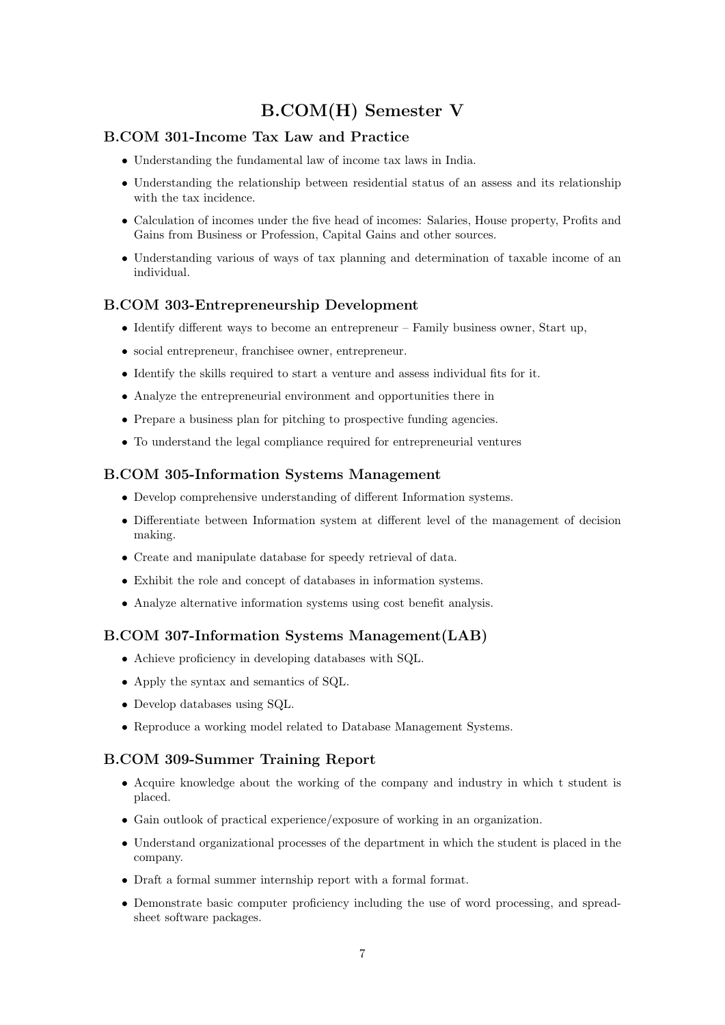# B.COM(H) Semester V

# B.COM 301-Income Tax Law and Practice

- Understanding the fundamental law of income tax laws in India.
- Understanding the relationship between residential status of an assess and its relationship with the tax incidence.
- Calculation of incomes under the five head of incomes: Salaries, House property, Profits and Gains from Business or Profession, Capital Gains and other sources.
- Understanding various of ways of tax planning and determination of taxable income of an individual.

### B.COM 303-Entrepreneurship Development

- Identify different ways to become an entrepreneur Family business owner, Start up,
- social entrepreneur, franchisee owner, entrepreneur.
- Identify the skills required to start a venture and assess individual fits for it.
- Analyze the entrepreneurial environment and opportunities there in
- Prepare a business plan for pitching to prospective funding agencies.
- To understand the legal compliance required for entrepreneurial ventures

#### B.COM 305-Information Systems Management

- Develop comprehensive understanding of different Information systems.
- Differentiate between Information system at different level of the management of decision making.
- Create and manipulate database for speedy retrieval of data.
- Exhibit the role and concept of databases in information systems.
- Analyze alternative information systems using cost benefit analysis.

### B.COM 307-Information Systems Management(LAB)

- Achieve proficiency in developing databases with SQL.
- Apply the syntax and semantics of SQL.
- Develop databases using SQL.
- Reproduce a working model related to Database Management Systems.

#### B.COM 309-Summer Training Report

- Acquire knowledge about the working of the company and industry in which t student is placed.
- Gain outlook of practical experience/exposure of working in an organization.
- Understand organizational processes of the department in which the student is placed in the company.
- Draft a formal summer internship report with a formal format.
- Demonstrate basic computer proficiency including the use of word processing, and spreadsheet software packages.